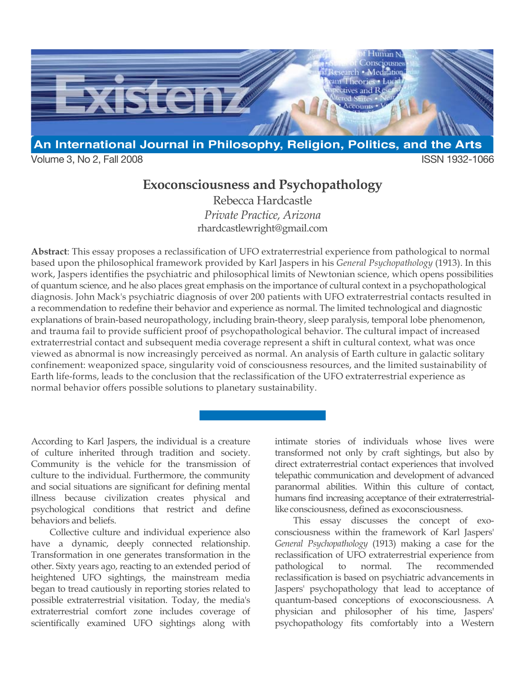

Volume 3, No 2, Fall 2008 ISSN 1932-1066

## **Exoconsciousness and Psychopathology**

Rebecca Hardcastle *Private Practice, Arizona* rhardcastlewright@gmail.com

**Abstract**: This essay proposes a reclassification of UFO extraterrestrial experience from pathological to normal based upon the philosophical framework provided by Karl Jaspers in his *General Psychopathology* (1913). In this work, Jaspers identifies the psychiatric and philosophical limits of Newtonian science, which opens possibilities of quantum science, and he also places great emphasis on the importance of cultural context in a psychopathological diagnosis. John Mack's psychiatric diagnosis of over 200 patients with UFO extraterrestrial contacts resulted in a recommendation to redefine their behavior and experience as normal. The limited technological and diagnostic explanations of brain-based neuropathology, including brain-theory, sleep paralysis, temporal lobe phenomenon, and trauma fail to provide sufficient proof of psychopathological behavior. The cultural impact of increased extraterrestrial contact and subsequent media coverage represent a shift in cultural context, what was once viewed as abnormal is now increasingly perceived as normal. An analysis of Earth culture in galactic solitary confinement: weaponized space, singularity void of consciousness resources, and the limited sustainability of Earth life-forms, leads to the conclusion that the reclassification of the UFO extraterrestrial experience as normal behavior offers possible solutions to planetary sustainability.

According to Karl Jaspers, the individual is a creature of culture inherited through tradition and society. Community is the vehicle for the transmission of culture to the individual. Furthermore, the community and social situations are significant for defining mental illness because civilization creates physical and psychological conditions that restrict and define behaviors and beliefs.

Collective culture and individual experience also have a dynamic, deeply connected relationship. Transformation in one generates transformation in the other. Sixty years ago, reacting to an extended period of heightened UFO sightings, the mainstream media began to tread cautiously in reporting stories related to possible extraterrestrial visitation. Today, the media's extraterrestrial comfort zone includes coverage of scientifically examined UFO sightings along with intimate stories of individuals whose lives were transformed not only by craft sightings, but also by direct extraterrestrial contact experiences that involved telepathic communication and development of advanced paranormal abilities. Within this culture of contact, humans find increasing acceptance of their extraterrestriallike consciousness, defined as exoconsciousness.

This essay discusses the concept of exoconsciousness within the framework of Karl Jaspers' *General Psychopathology* (1913) making a case for the reclassification of UFO extraterrestrial experience from pathological to normal. The recommended reclassification is based on psychiatric advancements in Jaspers' psychopathology that lead to acceptance of quantum-based conceptions of exoconsciousness. A physician and philosopher of his time, Jaspers' psychopathology fits comfortably into a Western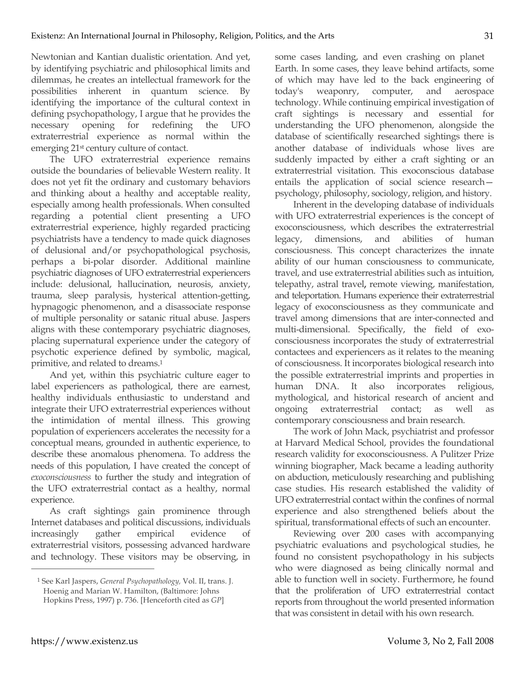Newtonian and Kantian dualistic orientation. And yet, by identifying psychiatric and philosophical limits and dilemmas, he creates an intellectual framework for the possibilities inherent in quantum science. By identifying the importance of the cultural context in defining psychopathology, I argue that he provides the necessary opening for redefining the UFO extraterrestrial experience as normal within the emerging 21st century culture of contact.

The UFO extraterrestrial experience remains outside the boundaries of believable Western reality. It does not yet fit the ordinary and customary behaviors and thinking about a healthy and acceptable reality, especially among health professionals. When consulted regarding a potential client presenting a UFO extraterrestrial experience, highly regarded practicing psychiatrists have a tendency to made quick diagnoses of delusional and/or psychopathological psychosis, perhaps a bi-polar disorder. Additional mainline psychiatric diagnoses of UFO extraterrestrial experiencers include: delusional, hallucination, neurosis, anxiety, trauma, sleep paralysis, hysterical attention-getting, hypnagogic phenomenon, and a disassociate response of multiple personality or satanic ritual abuse. Jaspers aligns with these contemporary psychiatric diagnoses, placing supernatural experience under the category of psychotic experience defined by symbolic, magical, primitive, and related to dreams.1

And yet, within this psychiatric culture eager to label experiencers as pathological, there are earnest, healthy individuals enthusiastic to understand and integrate their UFO extraterrestrial experiences without the intimidation of mental illness. This growing population of experiencers accelerates the necessity for a conceptual means, grounded in authentic experience, to describe these anomalous phenomena. To address the needs of this population, I have created the concept of *exoconsciousness* to further the study and integration of the UFO extraterrestrial contact as a healthy, normal experience.

As craft sightings gain prominence through Internet databases and political discussions, individuals increasingly gather empirical evidence of extraterrestrial visitors, possessing advanced hardware and technology. These visitors may be observing, in some cases landing, and even crashing on planet Earth. In some cases, they leave behind artifacts, some of which may have led to the back engineering of today's weaponry, computer, and aerospace technology. While continuing empirical investigation of craft sightings is necessary and essential for understanding the UFO phenomenon, alongside the database of scientifically researched sightings there is another database of individuals whose lives are suddenly impacted by either a craft sighting or an extraterrestrial visitation. This exoconscious database entails the application of social science research psychology, philosophy, sociology, religion, and history.

Inherent in the developing database of individuals with UFO extraterrestrial experiences is the concept of exoconsciousness, which describes the extraterrestrial legacy, dimensions, and abilities of human consciousness. This concept characterizes the innate ability of our human consciousness to communicate, travel, and use extraterrestrial abilities such as intuition, telepathy, astral travel**,** remote viewing, manifestation, and teleportation. Humans experience their extraterrestrial legacy of exoconsciousness as they communicate and travel among dimensions that are inter-connected and multi-dimensional. Specifically, the field of exoconsciousness incorporates the study of extraterrestrial contactees and experiencers as it relates to the meaning of consciousness. It incorporates biological research into the possible extraterrestrial imprints and properties in human DNA. It also incorporates religious, mythological, and historical research of ancient and ongoing extraterrestrial contact; as well as contemporary consciousness and brain research.

The work of John Mack, psychiatrist and professor at Harvard Medical School, provides the foundational research validity for exoconsciousness. A Pulitzer Prize winning biographer, Mack became a leading authority on abduction, meticulously researching and publishing case studies. His research established the validity of UFO extraterrestrial contact within the confines of normal experience and also strengthened beliefs about the spiritual, transformational effects of such an encounter.

Reviewing over 200 cases with accompanying psychiatric evaluations and psychological studies, he found no consistent psychopathology in his subjects who were diagnosed as being clinically normal and able to function well in society. Furthermore, he found that the proliferation of UFO extraterrestrial contact reports from throughout the world presented information that was consistent in detail with his own research.

**.** 

<sup>1</sup> See Karl Jaspers, *General Psychopathology,* Vol. II, trans. J. Hoenig and Marian W. Hamilton, (Baltimore: Johns Hopkins Press, 1997) p. 736. [Henceforth cited as *GP*]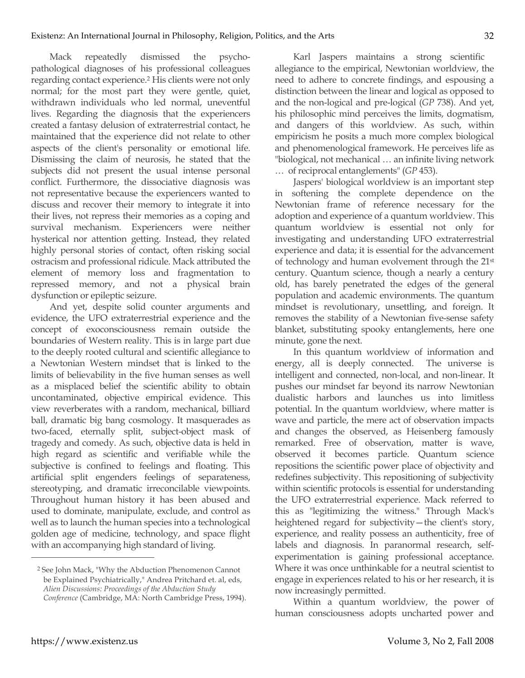Mack repeatedly dismissed the psychopathological diagnoses of his professional colleagues regarding contact experience.2 His clients were not only normal; for the most part they were gentle, quiet, withdrawn individuals who led normal, uneventful lives. Regarding the diagnosis that the experiencers created a fantasy delusion of extraterrestrial contact, he maintained that the experience did not relate to other aspects of the client's personality or emotional life. Dismissing the claim of neurosis, he stated that the subjects did not present the usual intense personal conflict. Furthermore, the dissociative diagnosis was not representative because the experiencers wanted to discuss and recover their memory to integrate it into their lives, not repress their memories as a coping and survival mechanism. Experiencers were neither hysterical nor attention getting. Instead, they related highly personal stories of contact, often risking social ostracism and professional ridicule. Mack attributed the element of memory loss and fragmentation to repressed memory, and not a physical brain dysfunction or epileptic seizure.

And yet, despite solid counter arguments and evidence, the UFO extraterrestrial experience and the concept of exoconsciousness remain outside the boundaries of Western reality. This is in large part due to the deeply rooted cultural and scientific allegiance to a Newtonian Western mindset that is linked to the limits of believability in the five human senses as well as a misplaced belief the scientific ability to obtain uncontaminated, objective empirical evidence. This view reverberates with a random, mechanical, billiard ball, dramatic big bang cosmology. It masquerades as two-faced, eternally split, subject-object mask of tragedy and comedy. As such, objective data is held in high regard as scientific and verifiable while the subjective is confined to feelings and floating. This artificial split engenders feelings of separateness, stereotyping, and dramatic irreconcilable viewpoints. Throughout human history it has been abused and used to dominate, manipulate, exclude, and control as well as to launch the human species into a technological golden age of medicine, technology, and space flight with an accompanying high standard of living.

Karl Jaspers maintains a strong scientific allegiance to the empirical, Newtonian worldview, the need to adhere to concrete findings, and espousing a distinction between the linear and logical as opposed to and the non-logical and pre-logical (*GP* 738). And yet, his philosophic mind perceives the limits, dogmatism, and dangers of this worldview. As such, within empiricism he posits a much more complex biological and phenomenological framework. He perceives life as "biological, not mechanical … an infinite living network … of reciprocal entanglements" (*GP* 453).

Jaspers' biological worldview is an important step in softening the complete dependence on the Newtonian frame of reference necessary for the adoption and experience of a quantum worldview. This quantum worldview is essential not only for investigating and understanding UFO extraterrestrial experience and data; it is essential for the advancement of technology and human evolvement through the 21st century. Quantum science, though a nearly a century old, has barely penetrated the edges of the general population and academic environments. The quantum mindset is revolutionary, unsettling, and foreign. It removes the stability of a Newtonian five-sense safety blanket, substituting spooky entanglements, here one minute, gone the next.

In this quantum worldview of information and energy, all is deeply connected. The universe is intelligent and connected, non-local, and non-linear. It pushes our mindset far beyond its narrow Newtonian dualistic harbors and launches us into limitless potential. In the quantum worldview, where matter is wave and particle, the mere act of observation impacts and changes the observed, as Heisenberg famously remarked. Free of observation, matter is wave, observed it becomes particle. Quantum science repositions the scientific power place of objectivity and redefines subjectivity. This repositioning of subjectivity within scientific protocols is essential for understanding the UFO extraterrestrial experience. Mack referred to this as "legitimizing the witness." Through Mack's heightened regard for subjectivity—the client's story, experience, and reality possess an authenticity, free of labels and diagnosis. In paranormal research, selfexperimentation is gaining professional acceptance. Where it was once unthinkable for a neutral scientist to engage in experiences related to his or her research, it is now increasingly permitted.

Within a quantum worldview, the power of human consciousness adopts uncharted power and

<sup>2</sup> See John Mack, "Why the Abduction Phenomenon Cannot be Explained Psychiatrically," Andrea Pritchard et. al, eds, *Alien Discussions: Proceedings of the Abduction Study Conference* (Cambridge, MA: North Cambridge Press, 1994).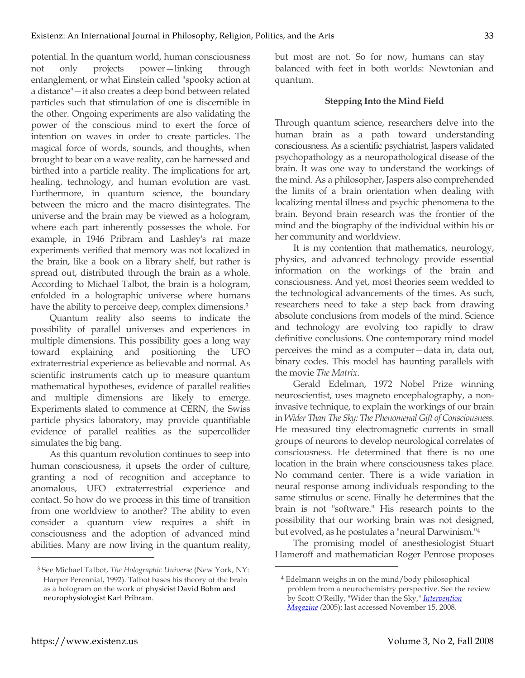potential. In the quantum world, human consciousness not only projects power—linking through entanglement, or what Einstein called "spooky action at a distance"—it also creates a deep bond between related particles such that stimulation of one is discernible in the other. Ongoing experiments are also validating the power of the conscious mind to exert the force of intention on waves in order to create particles. The magical force of words, sounds, and thoughts, when brought to bear on a wave reality, can be harnessed and birthed into a particle reality. The implications for art, healing, technology, and human evolution are vast. Furthermore, in quantum science, the boundary between the micro and the macro disintegrates. The universe and the brain may be viewed as a hologram, where each part inherently possesses the whole. For example, in 1946 Pribram and Lashley's rat maze experiments verified that memory was not localized in the brain, like a book on a library shelf, but rather is spread out, distributed through the brain as a whole. According to Michael Talbot, the brain is a hologram, enfolded in a holographic universe where humans have the ability to perceive deep, complex dimensions.<sup>3</sup>

Quantum reality also seems to indicate the possibility of parallel universes and experiences in multiple dimensions. This possibility goes a long way toward explaining and positioning the UFO extraterrestrial experience as believable and normal. As scientific instruments catch up to measure quantum mathematical hypotheses, evidence of parallel realities and multiple dimensions are likely to emerge. Experiments slated to commence at CERN, the Swiss particle physics laboratory, may provide quantifiable evidence of parallel realities as the supercollider simulates the big bang.

As this quantum revolution continues to seep into human consciousness, it upsets the order of culture, granting a nod of recognition and acceptance to anomalous, UFO extraterrestrial experience and contact. So how do we process in this time of transition from one worldview to another? The ability to even consider a quantum view requires a shift in consciousness and the adoption of advanced mind abilities. Many are now living in the quantum reality, but most are not. So for now, humans can stay balanced with feet in both worlds: Newtonian and quantum.

## **Stepping Into the Mind Field**

Through quantum science, researchers delve into the human brain as a path toward understanding consciousness. As a scientific psychiatrist, Jaspers validated psychopathology as a neuropathological disease of the brain. It was one way to understand the workings of the mind. As a philosopher, Jaspers also comprehended the limits of a brain orientation when dealing with localizing mental illness and psychic phenomena to the brain. Beyond brain research was the frontier of the mind and the biography of the individual within his or her community and worldview.

It is my contention that mathematics, neurology, physics, and advanced technology provide essential information on the workings of the brain and consciousness. And yet, most theories seem wedded to the technological advancements of the times. As such, researchers need to take a step back from drawing absolute conclusions from models of the mind. Science and technology are evolving too rapidly to draw definitive conclusions. One contemporary mind model perceives the mind as a computer—data in, data out, binary codes. This model has haunting parallels with the movie *The Matrix*.

Gerald Edelman, 1972 Nobel Prize winning neuroscientist, uses magneto encephalography, a noninvasive technique, to explain the workings of our brain in *Wider Than The Sky: The Phenomenal Gift of Consciousness.*  He measured tiny electromagnetic currents in small groups of neurons to develop neurological correlates of consciousness. He determined that there is no one location in the brain where consciousness takes place. No command center. There is a wide variation in neural response among individuals responding to the same stimulus or scene. Finally he determines that the brain is not "software." His research points to the possibility that our working brain was not designed, but evolved, as he postulates a "neural Darwinism."4

The promising model of anesthesiologist Stuart Hameroff and mathematician Roger Penrose proposes

 $\overline{a}$ 

<sup>3</sup> See Michael Talbot, *The Holographic Universe* (New York, NY: Harper Perennial, 1992). Talbot bases his theory of the brain as a hologram on the work of physicist David Bohm and neurophysiologist Karl Pribram.

<sup>4</sup> Edelmann weighs in on the mind/body philosophical problem from a neurochemistry perspective. See the review by Scott O'Reilly, "Wider than the Sky," *Intervention Magazine (*2005); last accessed November 15, 2008.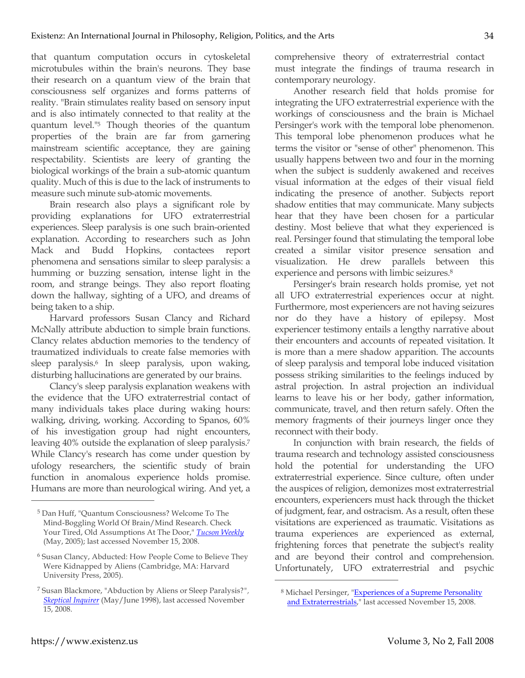that quantum computation occurs in cytoskeletal microtubules within the brain's neurons. They base their research on a quantum view of the brain that consciousness self organizes and forms patterns of reality. "Brain stimulates reality based on sensory input and is also intimately connected to that reality at the quantum level."5 Though theories of the quantum properties of the brain are far from garnering mainstream scientific acceptance, they are gaining respectability. Scientists are leery of granting the biological workings of the brain a sub-atomic quantum quality. Much of this is due to the lack of instruments to measure such minute sub-atomic movements.

Brain research also plays a significant role by providing explanations for UFO extraterrestrial experiences. Sleep paralysis is one such brain-oriented explanation. According to researchers such as John Mack and Budd Hopkins, contactees report phenomena and sensations similar to sleep paralysis: a humming or buzzing sensation, intense light in the room, and strange beings. They also report floating down the hallway, sighting of a UFO, and dreams of being taken to a ship.

Harvard professors Susan Clancy and Richard McNally attribute abduction to simple brain functions. Clancy relates abduction memories to the tendency of traumatized individuals to create false memories with sleep paralysis.<sup>6</sup> In sleep paralysis, upon waking, disturbing hallucinations are generated by our brains.

Clancy's sleep paralysis explanation weakens with the evidence that the UFO extraterrestrial contact of many individuals takes place during waking hours: walking, driving, working. According to Spanos, 60% of his investigation group had night encounters, leaving 40% outside the explanation of sleep paralysis.7 While Clancy's research has come under question by ufology researchers, the scientific study of brain function in anomalous experience holds promise. Humans are more than neurological wiring. And yet, a

comprehensive theory of extraterrestrial contact must integrate the findings of trauma research in contemporary neurology.

Another research field that holds promise for integrating the UFO extraterrestrial experience with the workings of consciousness and the brain is Michael Persinger's work with the temporal lobe phenomenon. This temporal lobe phenomenon produces what he terms the visitor or "sense of other" phenomenon. This usually happens between two and four in the morning when the subject is suddenly awakened and receives visual information at the edges of their visual field indicating the presence of another. Subjects report shadow entities that may communicate. Many subjects hear that they have been chosen for a particular destiny. Most believe that what they experienced is real. Persinger found that stimulating the temporal lobe created a similar visitor presence sensation and visualization. He drew parallels between this experience and persons with limbic seizures.8

Persinger's brain research holds promise, yet not all UFO extraterrestrial experiences occur at night. Furthermore, most experiencers are not having seizures nor do they have a history of epilepsy. Most experiencer testimony entails a lengthy narrative about their encounters and accounts of repeated visitation. It is more than a mere shadow apparition. The accounts of sleep paralysis and temporal lobe induced visitation possess striking similarities to the feelings induced by astral projection. In astral projection an individual learns to leave his or her body, gather information, communicate, travel, and then return safely. Often the memory fragments of their journeys linger once they reconnect with their body.

In conjunction with brain research, the fields of trauma research and technology assisted consciousness hold the potential for understanding the UFO extraterrestrial experience. Since culture, often under the auspices of religion, demonizes most extraterrestrial encounters, experiencers must hack through the thicket of judgment, fear, and ostracism. As a result, often these visitations are experienced as traumatic. Visitations as trauma experiences are experienced as external, frightening forces that penetrate the subject's reality and are beyond their control and comprehension. Unfortunately, UFO extraterrestrial and psychic

 $\overline{a}$ 

34

<sup>5</sup> Dan Huff, "Quantum Consciousness? Welcome To The Mind-Boggling World Of Brain/Mind Research. Check Your Tired, Old Assumptions At The Door," *Tucson Weekly* (May, 2005); last accessed November 15, 2008.

<sup>6</sup> Susan Clancy, Abducted: How People Come to Believe They Were Kidnapped by Aliens (Cambridge, MA: Harvard University Press, 2005).

<sup>7</sup> Susan Blackmore, "Abduction by Aliens or Sleep Paralysis?*", Skeptical Inquirer* (May/June 1998), last accessed November 15, 2008.

<sup>8</sup> Michael Persinger, "Experiences of a Supreme Personality and Extraterrestrials," last accessed November 15, 2008.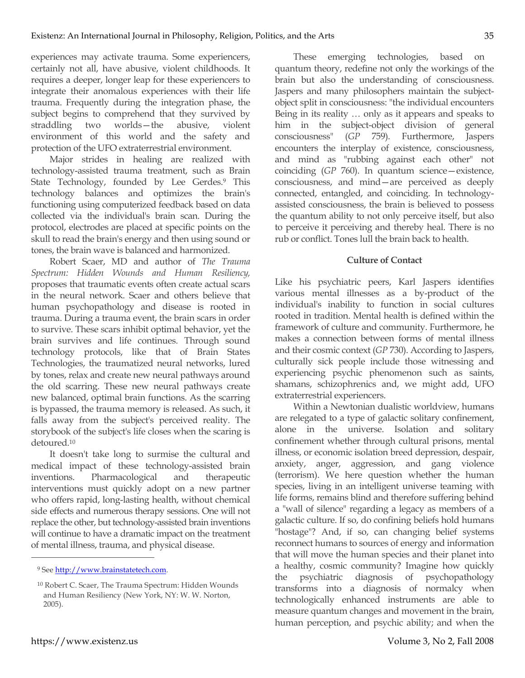experiences may activate trauma. Some experiencers, certainly not all, have abusive, violent childhoods. It requires a deeper, longer leap for these experiencers to integrate their anomalous experiences with their life trauma. Frequently during the integration phase, the subject begins to comprehend that they survived by straddling two worlds—the abusive, violent environment of this world and the safety and protection of the UFO extraterrestrial environment.

Major strides in healing are realized with technology-assisted trauma treatment, such as Brain State Technology, founded by Lee Gerdes.9 This technology balances and optimizes the brain's functioning using computerized feedback based on data collected via the individual's brain scan. During the protocol, electrodes are placed at specific points on the skull to read the brain's energy and then using sound or tones, the brain wave is balanced and harmonized.

Robert Scaer, MD and author of *The Trauma Spectrum: Hidden Wounds and Human Resiliency,* proposes that traumatic events often create actual scars in the neural network. Scaer and others believe that human psychopathology and disease is rooted in trauma. During a trauma event, the brain scars in order to survive. These scars inhibit optimal behavior, yet the brain survives and life continues. Through sound technology protocols, like that of Brain States Technologies, the traumatized neural networks, lured by tones, relax and create new neural pathways around the old scarring. These new neural pathways create new balanced, optimal brain functions. As the scarring is bypassed, the trauma memory is released. As such, it falls away from the subject's perceived reality. The storybook of the subject's life closes when the scaring is detoured.10

It doesn't take long to surmise the cultural and medical impact of these technology-assisted brain inventions. Pharmacological and therapeutic interventions must quickly adopt on a new partner who offers rapid, long-lasting health, without chemical side effects and numerous therapy sessions. One will not replace the other, but technology-assisted brain inventions will continue to have a dramatic impact on the treatment of mental illness, trauma, and physical disease.

These emerging technologies, based on quantum theory, redefine not only the workings of the brain but also the understanding of consciousness. Jaspers and many philosophers maintain the subjectobject split in consciousness: "the individual encounters Being in its reality … only as it appears and speaks to him in the subject-object division of general consciousness" (*GP* 759). Furthermore, Jaspers encounters the interplay of existence, consciousness, and mind as "rubbing against each other" not coinciding (*GP* 760). In quantum science—existence, consciousness, and mind—are perceived as deeply connected, entangled, and coinciding. In technologyassisted consciousness, the brain is believed to possess the quantum ability to not only perceive itself, but also to perceive it perceiving and thereby heal. There is no rub or conflict. Tones lull the brain back to health.

## **Culture of Contact**

Like his psychiatric peers, Karl Jaspers identifies various mental illnesses as a by-product of the individual's inability to function in social cultures rooted in tradition. Mental health is defined within the framework of culture and community. Furthermore, he makes a connection between forms of mental illness and their cosmic context (*GP* 730). According to Jaspers, culturally sick people include those witnessing and experiencing psychic phenomenon such as saints, shamans, schizophrenics and, we might add, UFO extraterrestrial experiencers.

Within a Newtonian dualistic worldview, humans are relegated to a type of galactic solitary confinement, alone in the universe. Isolation and solitary confinement whether through cultural prisons, mental illness, or economic isolation breed depression, despair, anxiety, anger, aggression, and gang violence (terrorism). We here question whether the human species, living in an intelligent universe teaming with life forms, remains blind and therefore suffering behind a "wall of silence" regarding a legacy as members of a galactic culture. If so, do confining beliefs hold humans "hostage"? And, if so, can changing belief systems reconnect humans to sources of energy and information that will move the human species and their planet into a healthy, cosmic community? Imagine how quickly the psychiatric diagnosis of psychopathology transforms into a diagnosis of normalcy when technologically enhanced instruments are able to measure quantum changes and movement in the brain, human perception, and psychic ability; and when the

<sup>&</sup>lt;sup>9</sup> See http://www.brainstatetech.com.

<sup>10</sup> Robert C. Scaer, The Trauma Spectrum: Hidden Wounds and Human Resiliency (New York, NY: W. W. Norton, 2005).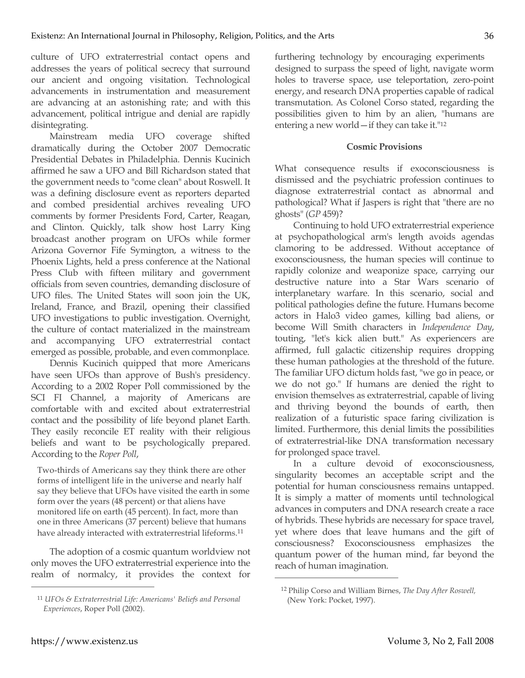culture of UFO extraterrestrial contact opens and addresses the years of political secrecy that surround our ancient and ongoing visitation. Technological advancements in instrumentation and measurement are advancing at an astonishing rate; and with this advancement, political intrigue and denial are rapidly disintegrating.

Mainstream media UFO coverage shifted dramatically during the October 2007 Democratic Presidential Debates in Philadelphia. Dennis Kucinich affirmed he saw a UFO and Bill Richardson stated that the government needs to "come clean" about Roswell. It was a defining disclosure event as reporters departed and combed presidential archives revealing UFO comments by former Presidents Ford, Carter, Reagan, and Clinton. Quickly, talk show host Larry King broadcast another program on UFOs while former Arizona Governor Fife Symington, a witness to the Phoenix Lights, held a press conference at the National Press Club with fifteen military and government officials from seven countries, demanding disclosure of UFO files. The United States will soon join the UK, Ireland, France, and Brazil, opening their classified UFO investigations to public investigation. Overnight, the culture of contact materialized in the mainstream and accompanying UFO extraterrestrial contact emerged as possible, probable, and even commonplace.

Dennis Kucinich quipped that more Americans have seen UFOs than approve of Bush's presidency. According to a 2002 Roper Poll commissioned by the SCI FI Channel, a majority of Americans are comfortable with and excited about extraterrestrial contact and the possibility of life beyond planet Earth. They easily reconcile ET reality with their religious beliefs and want to be psychologically prepared. According to the *Roper Poll*,

Two-thirds of Americans say they think there are other forms of intelligent life in the universe and nearly half say they believe that UFOs have visited the earth in some form over the years (48 percent) or that aliens have monitored life on earth (45 percent). In fact, more than one in three Americans (37 percent) believe that humans have already interacted with extraterrestrial lifeforms.11

The adoption of a cosmic quantum worldview not only moves the UFO extraterrestrial experience into the realm of normalcy, it provides the context for furthering technology by encouraging experiments designed to surpass the speed of light, navigate worm holes to traverse space, use teleportation, zero-point energy, and research DNA properties capable of radical transmutation. As Colonel Corso stated, regarding the possibilities given to him by an alien, "humans are entering a new world—if they can take it."12

## **Cosmic Provisions**

What consequence results if exoconsciousness is dismissed and the psychiatric profession continues to diagnose extraterrestrial contact as abnormal and pathological? What if Jaspers is right that "there are no ghosts" (*GP* 459)?

Continuing to hold UFO extraterrestrial experience at psychopathological arm's length avoids agendas clamoring to be addressed. Without acceptance of exoconsciousness, the human species will continue to rapidly colonize and weaponize space, carrying our destructive nature into a Star Wars scenario of interplanetary warfare. In this scenario, social and political pathologies define the future. Humans become actors in Halo3 video games, killing bad aliens, or become Will Smith characters in *Independence Day*, touting, "let's kick alien butt." As experiencers are affirmed, full galactic citizenship requires dropping these human pathologies at the threshold of the future. The familiar UFO dictum holds fast, "we go in peace, or we do not go." If humans are denied the right to envision themselves as extraterrestrial, capable of living and thriving beyond the bounds of earth, then realization of a futuristic space faring civilization is limited. Furthermore, this denial limits the possibilities of extraterrestrial-like DNA transformation necessary for prolonged space travel.

In a culture devoid of exoconsciousness, singularity becomes an acceptable script and the potential for human consciousness remains untapped. It is simply a matter of moments until technological advances in computers and DNA research create a race of hybrids. These hybrids are necessary for space travel, yet where does that leave humans and the gift of consciousness? Exoconsciousness emphasizes the quantum power of the human mind, far beyond the reach of human imagination.

 $\overline{a}$ 

**.** 

<sup>11</sup> *UFOs & Extraterrestrial Life: Americans' Beliefs and Personal Experiences*, Roper Poll (2002).

<sup>12</sup> Philip Corso and William Birnes, *The Day After Roswell,* (New York: Pocket, 1997).